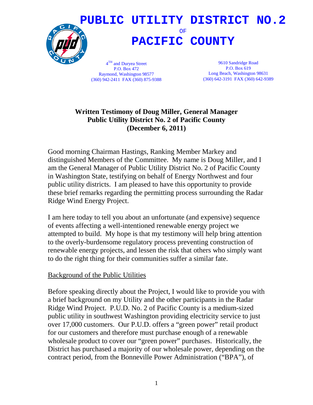

P.O. Box 472 Raymond, Washington 98577 (360) 942-2411 FAX (360) 875-9388

P.O. Box 619 Long Beach, Washington 98631 (360) 642-3191 FAX (360) 642-9389

## **Written Testimony of Doug Miller, General Manager Public Utility District No. 2 of Pacific County (December 6, 2011)**

Good morning Chairman Hastings, Ranking Member Markey and distinguished Members of the Committee. My name is Doug Miller, and I am the General Manager of Public Utility District No. 2 of Pacific County in Washington State, testifying on behalf of Energy Northwest and four public utility districts. I am pleased to have this opportunity to provide these brief remarks regarding the permitting process surrounding the Radar Ridge Wind Energy Project.

I am here today to tell you about an unfortunate (and expensive) sequence of events affecting a well-intentioned renewable energy project we attempted to build. My hope is that my testimony will help bring attention to the overly-burdensome regulatory process preventing construction of renewable energy projects, and lessen the risk that others who simply want to do the right thing for their communities suffer a similar fate.

## Background of the Public Utilities

Before speaking directly about the Project, I would like to provide you with a brief background on my Utility and the other participants in the Radar Ridge Wind Project. P.U.D. No. 2 of Pacific County is a medium-sized public utility in southwest Washington providing electricity service to just over 17,000 customers. Our P.U.D. offers a "green power" retail product for our customers and therefore must purchase enough of a renewable wholesale product to cover our "green power" purchases. Historically, the District has purchased a majority of our wholesale power, depending on the contract period, from the Bonneville Power Administration ("BPA"), of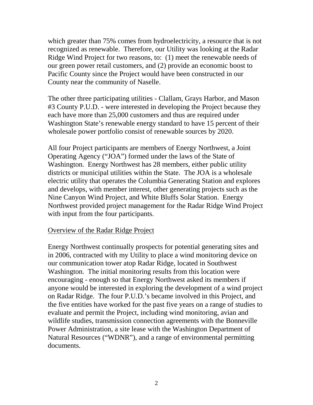which greater than 75% comes from hydroelectricity, a resource that is not recognized as renewable. Therefore, our Utility was looking at the Radar Ridge Wind Project for two reasons, to: (1) meet the renewable needs of our green power retail customers, and (2) provide an economic boost to Pacific County since the Project would have been constructed in our County near the community of Naselle.

The other three participating utilities - Clallam, Grays Harbor, and Mason #3 County P.U.D. - were interested in developing the Project because they each have more than 25,000 customers and thus are required under Washington State's renewable energy standard to have 15 percent of their wholesale power portfolio consist of renewable sources by 2020.

All four Project participants are members of Energy Northwest, a Joint Operating Agency ("JOA") formed under the laws of the State of Washington. Energy Northwest has 28 members, either public utility districts or municipal utilities within the State. The JOA is a wholesale electric utility that operates the Columbia Generating Station and explores and develops, with member interest, other generating projects such as the Nine Canyon Wind Project, and White Bluffs Solar Station. Energy Northwest provided project management for the Radar Ridge Wind Project with input from the four participants.

#### Overview of the Radar Ridge Project

Energy Northwest continually prospects for potential generating sites and in 2006, contracted with my Utility to place a wind monitoring device on our communication tower atop Radar Ridge, located in Southwest Washington. The initial monitoring results from this location were encouraging - enough so that Energy Northwest asked its members if anyone would be interested in exploring the development of a wind project on Radar Ridge. The four P.U.D.'s became involved in this Project, and the five entities have worked for the past five years on a range of studies to evaluate and permit the Project, including wind monitoring, avian and wildlife studies, transmission connection agreements with the Bonneville Power Administration, a site lease with the Washington Department of Natural Resources ("WDNR"), and a range of environmental permitting documents.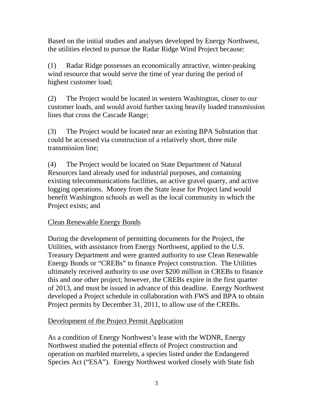Based on the initial studies and analyses developed by Energy Northwest, the utilities elected to pursue the Radar Ridge Wind Project because:

(1) Radar Ridge possesses an economically attractive, winter-peaking wind resource that would serve the time of year during the period of highest customer load;

(2) The Project would be located in western Washington, closer to our customer loads, and would avoid further taxing heavily loaded transmission lines that cross the Cascade Range;

(3) The Project would be located near an existing BPA Substation that could be accessed via construction of a relatively short, three mile transmission line;

(4) The Project would be located on State Department of Natural Resources land already used for industrial purposes, and containing existing telecommunications facilities, an active gravel quarry, and active logging operations. Money from the State lease for Project land would benefit Washington schools as well as the local community in which the Project exists; and

## Clean Renewable Energy Bonds

During the development of permitting documents for the Project, the Utilities, with assistance from Energy Northwest, applied to the U.S. Treasury Department and were granted authority to use Clean Renewable Energy Bonds or "CREBs" to finance Project construction. The Utilities ultimately received authority to use over \$200 million in CREBs to finance this and one other project; however, the CREBs expire in the first quarter of 2013, and must be issued in advance of this deadline. Energy Northwest developed a Project schedule in collaboration with FWS and BPA to obtain Project permits by December 31, 2011, to allow use of the CREBs.

# Development of the Project Permit Application

As a condition of Energy Northwest's lease with the WDNR, Energy Northwest studied the potential effects of Project construction and operation on marbled murrelets, a species listed under the Endangered Species Act ("ESA"). Energy Northwest worked closely with State fish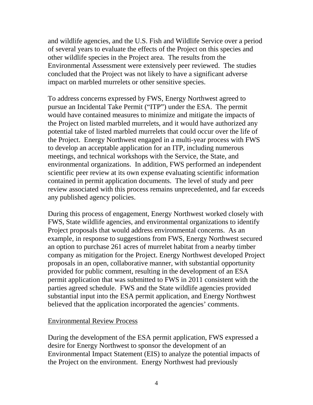and wildlife agencies, and the U.S. Fish and Wildlife Service over a period of several years to evaluate the effects of the Project on this species and other wildlife species in the Project area. The results from the Environmental Assessment were extensively peer reviewed. The studies concluded that the Project was not likely to have a significant adverse impact on marbled murrelets or other sensitive species.

To address concerns expressed by FWS, Energy Northwest agreed to pursue an Incidental Take Permit ("ITP") under the ESA. The permit would have contained measures to minimize and mitigate the impacts of the Project on listed marbled murrelets, and it would have authorized any potential take of listed marbled murrelets that could occur over the life of the Project. Energy Northwest engaged in a multi-year process with FWS to develop an acceptable application for an ITP, including numerous meetings, and technical workshops with the Service, the State, and environmental organizations. In addition, FWS performed an independent scientific peer review at its own expense evaluating scientific information contained in permit application documents. The level of study and peer review associated with this process remains unprecedented, and far exceeds any published agency policies.

During this process of engagement, Energy Northwest worked closely with FWS, State wildlife agencies, and environmental organizations to identify Project proposals that would address environmental concerns. As an example, in response to suggestions from FWS, Energy Northwest secured an option to purchase 261 acres of murrelet habitat from a nearby timber company as mitigation for the Project. Energy Northwest developed Project proposals in an open, collaborative manner, with substantial opportunity provided for public comment, resulting in the development of an ESA permit application that was submitted to FWS in 2011 consistent with the parties agreed schedule. FWS and the State wildlife agencies provided substantial input into the ESA permit application, and Energy Northwest believed that the application incorporated the agencies' comments.

#### Environmental Review Process

During the development of the ESA permit application, FWS expressed a desire for Energy Northwest to sponsor the development of an Environmental Impact Statement (EIS) to analyze the potential impacts of the Project on the environment. Energy Northwest had previously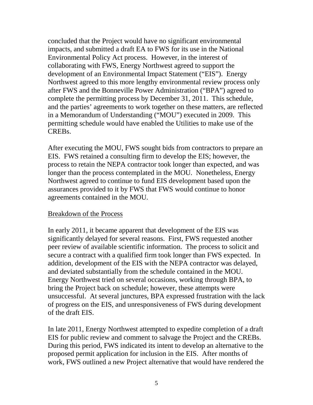concluded that the Project would have no significant environmental impacts, and submitted a draft EA to FWS for its use in the National Environmental Policy Act process. However, in the interest of collaborating with FWS, Energy Northwest agreed to support the development of an Environmental Impact Statement ("EIS"). Energy Northwest agreed to this more lengthy environmental review process only after FWS and the Bonneville Power Administration ("BPA") agreed to complete the permitting process by December 31, 2011. This schedule, and the parties' agreements to work together on these matters, are reflected in a Memorandum of Understanding ("MOU") executed in 2009. This permitting schedule would have enabled the Utilities to make use of the CREBs.

After executing the MOU, FWS sought bids from contractors to prepare an EIS. FWS retained a consulting firm to develop the EIS; however, the process to retain the NEPA contractor took longer than expected, and was longer than the process contemplated in the MOU. Nonetheless, Energy Northwest agreed to continue to fund EIS development based upon the assurances provided to it by FWS that FWS would continue to honor agreements contained in the MOU.

## Breakdown of the Process

In early 2011, it became apparent that development of the EIS was significantly delayed for several reasons. First, FWS requested another peer review of available scientific information. The process to solicit and secure a contract with a qualified firm took longer than FWS expected. In addition, development of the EIS with the NEPA contractor was delayed, and deviated substantially from the schedule contained in the MOU. Energy Northwest tried on several occasions, working through BPA, to bring the Project back on schedule; however, these attempts were unsuccessful. At several junctures, BPA expressed frustration with the lack of progress on the EIS, and unresponsiveness of FWS during development of the draft EIS.

In late 2011, Energy Northwest attempted to expedite completion of a draft EIS for public review and comment to salvage the Project and the CREBs. During this period, FWS indicated its intent to develop an alternative to the proposed permit application for inclusion in the EIS. After months of work, FWS outlined a new Project alternative that would have rendered the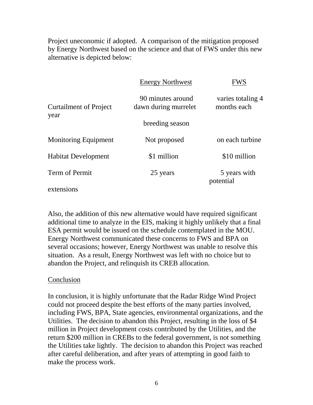Project uneconomic if adopted. A comparison of the mitigation proposed by Energy Northwest based on the science and that of FWS under this new alternative is depicted below:

|                                       | <b>Energy Northwest</b>                   | FWS                              |
|---------------------------------------|-------------------------------------------|----------------------------------|
| <b>Curtailment of Project</b><br>year | 90 minutes around<br>dawn during murrelet | varies totaling 4<br>months each |
|                                       | breeding season                           |                                  |
| <b>Monitoring Equipment</b>           | Not proposed                              | on each turbine                  |
| <b>Habitat Development</b>            | \$1 million                               | \$10 million                     |
| Term of Permit                        | 25 years                                  | 5 years with<br>potential        |
| extensions                            |                                           |                                  |

Also, the addition of this new alternative would have required significant additional time to analyze in the EIS, making it highly unlikely that a final ESA permit would be issued on the schedule contemplated in the MOU. Energy Northwest communicated these concerns to FWS and BPA on several occasions; however, Energy Northwest was unable to resolve this situation. As a result, Energy Northwest was left with no choice but to abandon the Project, and relinquish its CREB allocation.

## **Conclusion**

In conclusion, it is highly unfortunate that the Radar Ridge Wind Project could not proceed despite the best efforts of the many parties involved, including FWS, BPA, State agencies, environmental organizations, and the Utilities. The decision to abandon this Project, resulting in the loss of \$4 million in Project development costs contributed by the Utilities, and the return \$200 million in CREBs to the federal government, is not something the Utilities take lightly. The decision to abandon this Project was reached after careful deliberation, and after years of attempting in good faith to make the process work.